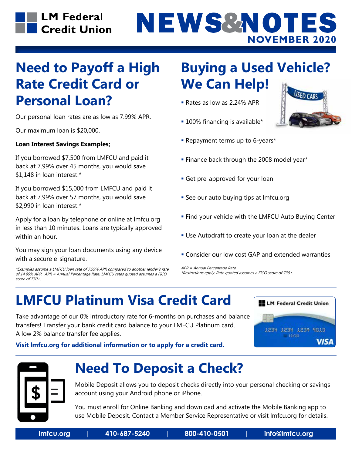# NEWS&NOTES **NOVEMBER 2020**

#### **Need to Payoff a High Rate Credit Card or Personal Loan?**

Our personal loan rates are as low as 7.99% APR.

Our maximum loan is \$20,000.

#### **Loan Interest Savings Examples;**

If you borrowed \$7,500 from LMFCU and paid it back at 7.99% over 45 months, you would save \$1,148 in loan interest!\*

If you borrowed \$15,000 from LMFCU and paid it back at 7.99% over 57 months, you would save \$2,990 in loan interest!\*

Apply for a loan by telephone or online at lmfcu.org in less than 10 minutes. Loans are typically approved within an hour.

You may sign your loan documents using any device with a secure e-signature.

\*Examples assume a LMFCU loan rate of 7.99% APR compared to another lender's rate of 14.99% APR. APR = Annual Percentage Rate. LMFCU rates quoted assumes a FICO score of 730+.

#### **Buying a Used Vehicle? We Can Help!**

- Rates as low as 2.24% APR
- **100% financing is available\***



- Repayment terms up to 6-years\*
- **Finance back through the 2008 model year\***
- **Get pre-approved for your loan**
- See our auto buying tips at lmfcu.org
- **Find your vehicle with the LMFCU Auto Buying Center**
- Use Autodraft to create your loan at the dealer
- Consider our low cost GAP and extended warranties

APR = Annual Percentage Rate. \*Restrictions apply. Rate quoted assumes a FICO score of 730+.

### **LMFCU Platinum Visa Credit Card**

Take advantage of our 0% introductory rate for 6-months on purchases and balance transfers! Transfer your bank credit card balance to your LMFCU Platinum card. A low 2% balance transfer fee applies.



**Visit lmfcu.org for additional information or to apply for a credit card.**



#### **Need To Deposit a Check?**

Mobile Deposit allows you to deposit checks directly into your personal checking or savings account using your Android phone or iPhone.

You must enroll for Online Banking and download and activate the Mobile Banking app to use Mobile Deposit. Contact a Member Service Representative or visit lmfcu.org for details.